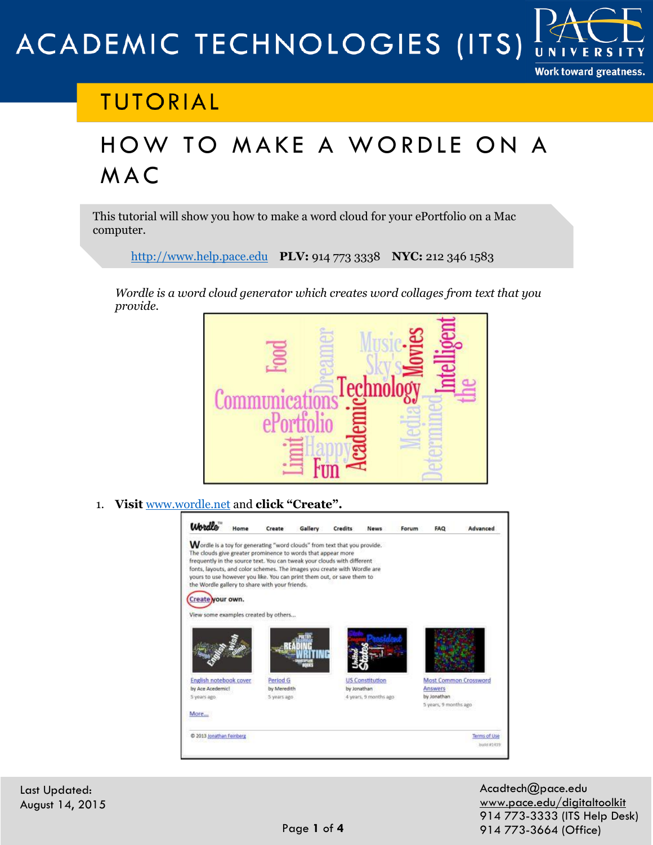### ACADEMIC TECHNOLOGIES (ITS) UNIV

#### **Work toward greatness.**

# **TUTORIAL**

# HOW TO MAKE A WORDLE ON A M A C

This tutorial will show you how to make a word cloud for your ePortfolio on a Mac computer.

[http://www.help.pace.edu](http://www.help.pace.edu/) **PLV:** 914 773 3338 **NYC:** 212 346 1583

*Wordle is a word cloud generator which creates word collages from text that you provide.*



1. **Visit** [www.wordle.net](http://www.wordle.net/) and **click "Create".**



Last Updated: August 14, 2015 Acadtech@pace.edu [www.pace.edu/digitaltoolkit](http://www.pace.edu/digitaltoolkit) 914 773-3333 (ITS Help Desk) 914 773-3664 (Office)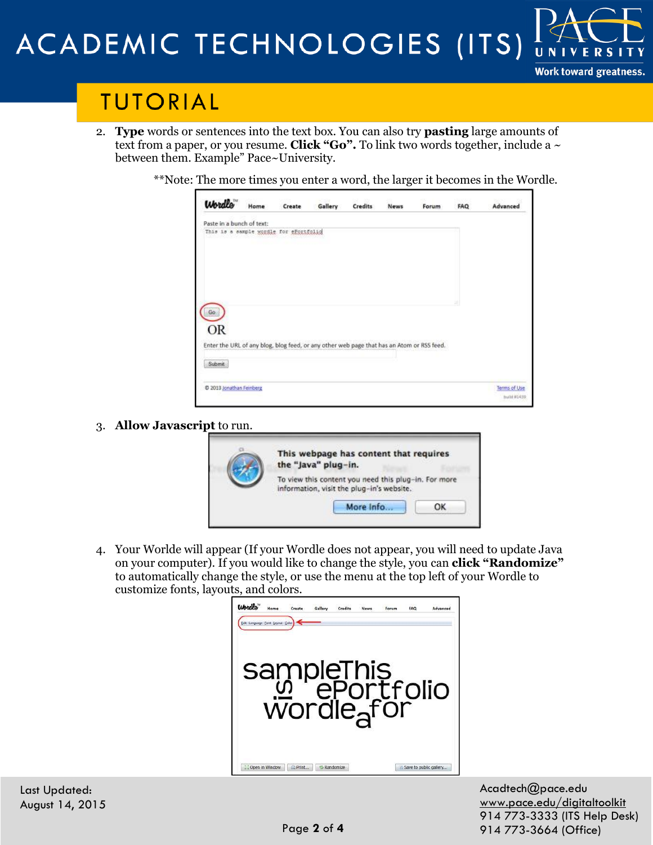## ACADEMIC TECHNOLOGIES (ITS) UNI

## **TUTORIAL**

- 2. **Type** words or sentences into the text box. You can also try **pasting** large amounts o[f](http://www.pace.edu/digitaltoolkit)  text from a paper, or you resume. **Click "Go".** To link two words together, include a  $\sim$ between them. Example" Pace~University.
	- \*\*Note: The more times you enter a word, the larger it becomes in the Wordle.

| Paste in a bunch of text:<br>This is a sample wordle for eFortfolio |  |  |                                                                                           |                            |
|---------------------------------------------------------------------|--|--|-------------------------------------------------------------------------------------------|----------------------------|
|                                                                     |  |  |                                                                                           |                            |
|                                                                     |  |  |                                                                                           |                            |
|                                                                     |  |  |                                                                                           |                            |
|                                                                     |  |  |                                                                                           |                            |
|                                                                     |  |  |                                                                                           |                            |
|                                                                     |  |  |                                                                                           |                            |
|                                                                     |  |  |                                                                                           |                            |
|                                                                     |  |  |                                                                                           |                            |
| © 2013 Jonathan Feinberg                                            |  |  |                                                                                           | Terms of Use<br>hund #1439 |
|                                                                     |  |  | Enter the URL of any blog, blog feed, or any other web page that has an Atom or RSS feed. |                            |

3. **Allow Javascript** to run.



4. Your Worlde will appear (If your Wordle does not appear, you will need to update Java on your computer). If you would like to change the style, you can **click "Randomize"** to automatically change the style, or use the menu at the top left of your Wordle to customize fonts, layouts, and colors.

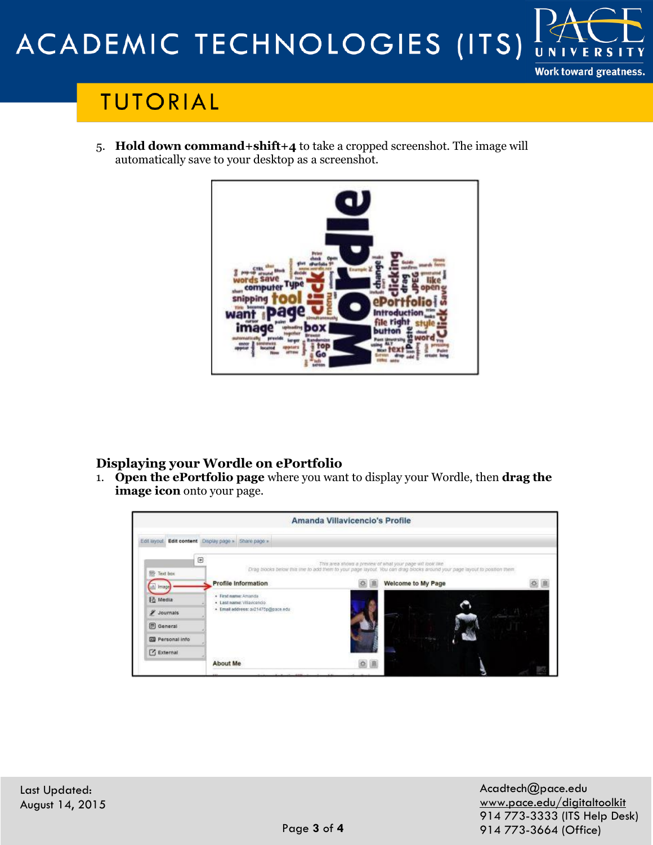## ACADEMIC TECHNOLOGIES (ITS) UNIV

# **TUTORIAL**

5. **Hold down command+shift+4** to take a cropped screenshot. The image will automatically save to your desktop as a screenshot.



### **Displaying your Wordle on ePortfolio**

1. **Open the ePortfolio page** where you want to display your Wordle, then **drag the image icon** onto your page.



**Work toward greatness.**